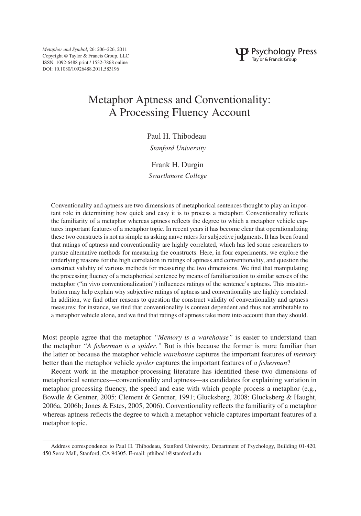# Metaphor Aptness and Conventionality: A Processing Fluency Account

### Paul H. Thibodeau

*Stanford University*

Frank H. Durgin

*Swarthmore College*

Conventionality and aptness are two dimensions of metaphorical sentences thought to play an important role in determining how quick and easy it is to process a metaphor. Conventionality reflects the familiarity of a metaphor whereas aptness reflects the degree to which a metaphor vehicle captures important features of a metaphor topic. In recent years it has become clear that operationalizing these two constructs is not as simple as asking naïve raters for subjective judgments. It has been found that ratings of aptness and conventionality are highly correlated, which has led some researchers to pursue alternative methods for measuring the constructs. Here, in four experiments, we explore the underlying reasons for the high correlation in ratings of aptness and conventionality, and question the construct validity of various methods for measuring the two dimensions. We find that manipulating the processing fluency of a metaphorical sentence by means of familiarization to similar senses of the metaphor ("in vivo conventionalization") influences ratings of the sentence's aptness. This misattribution may help explain why subjective ratings of aptness and conventionality are highly correlated. In addition, we find other reasons to question the construct validity of conventionality and aptness measures: for instance, we find that conventionality is context dependent and thus not attributable to a metaphor vehicle alone, and we find that ratings of aptness take more into account than they should.

Most people agree that the metaphor *"Memory is a warehouse"* is easier to understand than the metaphor *"A fisherman is a spider*.*"* But is this because the former is more familiar than the latter or because the metaphor vehicle *warehouse* captures the important features of *memory* better than the metaphor vehicle *spider* captures the important features of *a fisherman*?

Recent work in the metaphor-processing literature has identified these two dimensions of metaphorical sentences—conventionality and aptness—as candidates for explaining variation in metaphor processing fluency, the speed and ease with which people process a metaphor (e.g., Bowdle & Gentner, 2005; Clement & Gentner, 1991; Glucksberg, 2008; Glucksberg & Haught, 2006a, 2006b; Jones & Estes, 2005, 2006). Conventionality reflects the familiarity of a metaphor whereas aptness reflects the degree to which a metaphor vehicle captures important features of a metaphor topic.

Address correspondence to Paul H. Thibodeau, Stanford University, Department of Psychology, Building 01-420, 450 Serra Mall, Stanford, CA 94305. E-mail: pthibod1@stanford.edu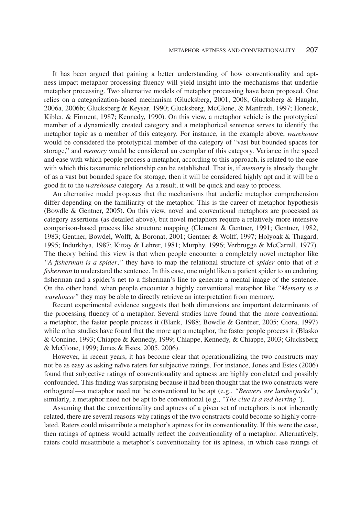It has been argued that gaining a better understanding of how conventionality and aptness impact metaphor processing fluency will yield insight into the mechanisms that underlie metaphor processing. Two alternative models of metaphor processing have been proposed. One relies on a categorization-based mechanism (Glucksberg, 2001, 2008; Glucksberg & Haught, 2006a, 2006b; Glucksberg & Keysar, 1990; Glucksberg, McGlone, & Manfredi, 1997; Honeck, Kibler, & Firment, 1987; Kennedy, 1990). On this view, a metaphor vehicle is the prototypical member of a dynamically created category and a metaphorical sentence serves to identify the metaphor topic as a member of this category. For instance, in the example above, *warehouse* would be considered the prototypical member of the category of "vast but bounded spaces for storage," and *memory* would be considered an exemplar of this category. Variance in the speed and ease with which people process a metaphor, according to this approach, is related to the ease with which this taxonomic relationship can be established. That is, if *memory* is already thought of as a vast but bounded space for storage, then it will be considered highly apt and it will be a good fit to the *warehouse* category. As a result, it will be quick and easy to process.

An alternative model proposes that the mechanisms that underlie metaphor comprehension differ depending on the familiarity of the metaphor. This is the career of metaphor hypothesis (Bowdle & Gentner, 2005). On this view, novel and conventional metaphors are processed as category assertions (as detailed above), but novel metaphors require a relatively more intensive comparison-based process like structure mapping (Clement & Gentner, 1991; Gentner, 1982, 1983; Gentner, Bowdel, Wolff, & Boronat, 2001; Gentner & Wolff, 1997; Holyoak & Thagard, 1995; Indurkhya, 1987; Kittay & Lehrer, 1981; Murphy, 1996; Verbrugge & McCarrell, 1977). The theory behind this view is that when people encounter a completely novel metaphor like *"A fisherman is a spider*,*"* they have to map the relational structure of *spider* onto that of *a fisherman* to understand the sentence. In this case, one might liken a patient spider to an enduring fisherman and a spider's net to a fisherman's line to generate a mental image of the sentence. On the other hand, when people encounter a highly conventional metaphor like *"Memory is a warehouse"* they may be able to directly retrieve an interpretation from memory.

Recent experimental evidence suggests that both dimensions are important determinants of the processing fluency of a metaphor. Several studies have found that the more conventional a metaphor, the faster people process it (Blank, 1988; Bowdle & Gentner, 2005; Giora, 1997) while other studies have found that the more apt a metaphor, the faster people process it (Blasko & Connine, 1993; Chiappe & Kennedy, 1999; Chiappe, Kennedy, & Chiappe, 2003; Glucksberg & McGlone, 1999; Jones & Estes, 2005, 2006).

However, in recent years, it has become clear that operationalizing the two constructs may not be as easy as asking naïve raters for subjective ratings. For instance, Jones and Estes (2006) found that subjective ratings of conventionality and aptness are highly correlated and possibly confounded. This finding was surprising because it had been thought that the two constructs were orthogonal—a metaphor need not be conventional to be apt (e.g., *"Beavers are lumberjacks"*); similarly, a metaphor need not be apt to be conventional (e.g., *"The clue is a red herring"*).

Assuming that the conventionality and aptness of a given set of metaphors is not inherently related, there are several reasons why ratings of the two constructs could become so highly correlated. Raters could misattribute a metaphor's aptness for its conventionality. If this were the case, then ratings of aptness would actually reflect the conventionality of a metaphor. Alternatively, raters could misattribute a metaphor's conventionality for its aptness, in which case ratings of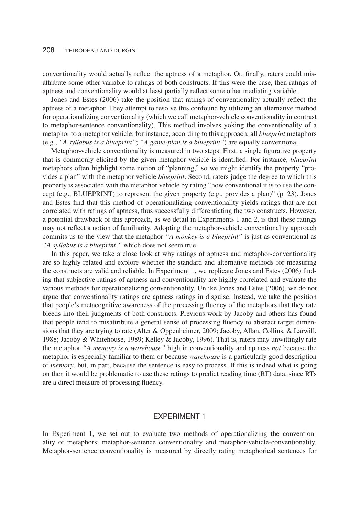conventionality would actually reflect the aptness of a metaphor. Or, finally, raters could misattribute some other variable to ratings of both constructs. If this were the case, then ratings of aptness and conventionality would at least partially reflect some other mediating variable.

Jones and Estes (2006) take the position that ratings of conventionality actually reflect the aptness of a metaphor. They attempt to resolve this confound by utilizing an alternative method for operationalizing conventionality (which we call metaphor-vehicle conventionality in contrast to metaphor-sentence conventionality). This method involves yoking the conventionality of a metaphor to a metaphor vehicle: for instance, according to this approach, all *blueprint* metaphors (e.g., *"A syllabus is a blueprint"*; *"A game-plan is a blueprint"*) are equally conventional.

Metaphor-vehicle conventionality is measured in two steps: First, a single figurative property that is commonly elicited by the given metaphor vehicle is identified. For instance, *blueprint* metaphors often highlight some notion of "planning," so we might identify the property "provides a plan" with the metaphor vehicle *blueprint*. Second, raters judge the degree to which this property is associated with the metaphor vehicle by rating "how conventional it is to use the concept (e.g., BLUEPRINT) to represent the given property (e.g., provides a plan)" (p. 23). Jones and Estes find that this method of operationalizing conventionality yields ratings that are not correlated with ratings of aptness, thus successfully differentiating the two constructs. However, a potential drawback of this approach, as we detail in Experiments 1 and 2, is that these ratings may not reflect a notion of familiarity. Adopting the metaphor-vehicle conventionality approach commits us to the view that the metaphor *"A monkey is a blueprint"* is just as conventional as *"A syllabus is a blueprint*,*"* which does not seem true.

In this paper, we take a close look at why ratings of aptness and metaphor-conventionality are so highly related and explore whether the standard and alternative methods for measuring the constructs are valid and reliable. In Experiment 1, we replicate Jones and Estes (2006) finding that subjective ratings of aptness and conventionality are highly correlated and evaluate the various methods for operationalizing conventionality. Unlike Jones and Estes (2006), we do not argue that conventionality ratings are aptness ratings in disguise. Instead, we take the position that people's metacognitive awareness of the processing fluency of the metaphors that they rate bleeds into their judgments of both constructs. Previous work by Jacoby and others has found that people tend to misattribute a general sense of processing fluency to abstract target dimensions that they are trying to rate (Alter & Oppenheimer, 2009; Jacoby, Allan, Collins, & Larwill, 1988; Jacoby & Whitehouse, 1989; Kelley & Jacoby, 1996). That is, raters may unwittingly rate the metaphor *"A memory is a warehouse"* high in conventionality and aptness *not* because the metaphor is especially familiar to them or because *warehouse* is a particularly good description of *memory*, but, in part, because the sentence is easy to process. If this is indeed what is going on then it would be problematic to use these ratings to predict reading time (RT) data, since RTs are a direct measure of processing fluency.

#### EXPERIMENT 1

In Experiment 1, we set out to evaluate two methods of operationalizing the conventionality of metaphors: metaphor-sentence conventionality and metaphor-vehicle-conventionality. Metaphor-sentence conventionality is measured by directly rating metaphorical sentences for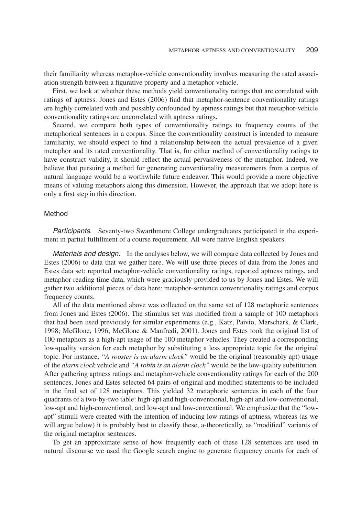their familiarity whereas metaphor-vehicle conventionality involves measuring the rated association strength between a figurative property and a metaphor vehicle.

First, we look at whether these methods yield conventionality ratings that are correlated with ratings of aptness. Jones and Estes (2006) find that metaphor-sentence conventionality ratings are highly correlated with and possibly confounded by aptness ratings but that metaphor-vehicle conventionality ratings are uncorrelated with aptness ratings.

Second, we compare both types of conventionality ratings to frequency counts of the metaphorical sentences in a corpus. Since the conventionality construct is intended to measure familiarity, we should expect to find a relationship between the actual prevalence of a given metaphor and its rated conventionality. That is, for either method of conventionality ratings to have construct validity, it should reflect the actual pervasiveness of the metaphor. Indeed, we believe that pursuing a method for generating conventionality measurements from a corpus of natural language would be a worthwhile future endeavor. This would provide a more objective means of valuing metaphors along this dimension. However, the approach that we adopt here is only a first step in this direction.

#### Method

*Participants.* Seventy-two Swarthmore College undergraduates participated in the experiment in partial fulfillment of a course requirement. All were native English speakers.

*Materials and design.* In the analyses below, we will compare data collected by Jones and Estes (2006) to data that we gather here. We will use three pieces of data from the Jones and Estes data set: reported metaphor-vehicle conventionality ratings, reported aptness ratings, and metaphor reading time data, which were graciously provided to us by Jones and Estes. We will gather two additional pieces of data here: metaphor-sentence conventionality ratings and corpus frequency counts.

All of the data mentioned above was collected on the same set of 128 metaphoric sentences from Jones and Estes (2006). The stimulus set was modified from a sample of 100 metaphors that had been used previously for similar experiments (e.g., Katz, Paivio, Marschark, & Clark, 1998; McGlone, 1996; McGlone & Manfredi, 2001). Jones and Estes took the original list of 100 metaphors as a high-apt usage of the 100 metaphor vehicles. They created a corresponding low-quality version for each metaphor by substituting a less appropriate topic for the original topic. For instance, *"A rooster is an alarm clock"* would be the original (reasonably apt) usage of the *alarm clock* vehicle and *"A robin is an alarm clock"* would be the low-quality substitution*.* After gathering aptness ratings and metaphor-vehicle conventionality ratings for each of the 200 sentences, Jones and Estes selected 64 pairs of original and modified statements to be included in the final set of 128 metaphors. This yielded 32 metaphoric sentences in each of the four quadrants of a two-by-two table: high-apt and high-conventional, high-apt and low-conventional, low-apt and high-conventional, and low-apt and low-conventional. We emphasize that the "lowapt" stimuli were created with the intention of inducing low ratings of aptness, whereas (as we will argue below) it is probably best to classify these, a-theoretically, as "modified" variants of the original metaphor sentences.

To get an approximate sense of how frequently each of these 128 sentences are used in natural discourse we used the Google search engine to generate frequency counts for each of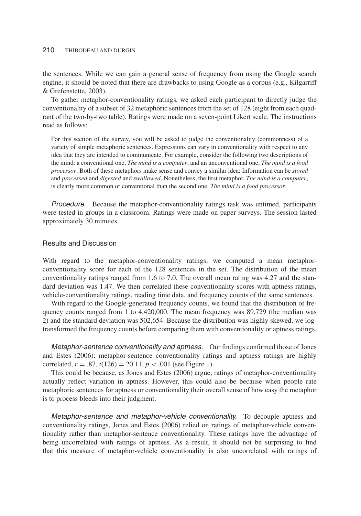the sentences. While we can gain a general sense of frequency from using the Google search engine, it should be noted that there are drawbacks to using Google as a corpus (e.g., Kilgarriff & Grefenstette, 2003).

To gather metaphor-conventionality ratings, we asked each participant to directly judge the conventionality of a subset of 32 metaphoric sentences from the set of 128 (eight from each quadrant of the two-by-two table). Ratings were made on a seven-point Likert scale. The instructions read as follows:

For this section of the survey, you will be asked to judge the conventionality (commonness) of a variety of simple metaphoric sentences. Expressions can vary in conventionality with respect to any idea that they are intended to communicate. For example, consider the following two descriptions of the mind: a conventional one, *The mind is a computer*, and an unconventional one, *The mind is a food processor*. Both of these metaphors make sense and convey a similar idea: Information can be *stored* and *processed* and *digested* and *swallowed*. Nonetheless, the first metaphor, *The mind is a computer*, is clearly more common or conventional than the second one, *The mind is a food processor*.

*Procedure.* Because the metaphor-conventionality ratings task was untimed, participants were tested in groups in a classroom. Ratings were made on paper surveys. The session lasted approximately 30 minutes.

#### Results and Discussion

With regard to the metaphor-conventionality ratings, we computed a mean metaphorconventionality score for each of the 128 sentences in the set. The distribution of the mean conventionality ratings ranged from 1.6 to 7.0. The overall mean rating was 4.27 and the standard deviation was 1.47. We then correlated these conventionality scores with aptness ratings, vehicle-conventionality ratings, reading time data, and frequency counts of the same sentences.

With regard to the Google-generated frequency counts, we found that the distribution of frequency counts ranged from 1 to 4,420,000. The mean frequency was 89,729 (the median was 2) and the standard deviation was 502,654. Because the distribution was highly skewed, we logtransformed the frequency counts before comparing them with conventionality or aptness ratings.

*Metaphor-sentence conventionality and aptness.* Our findings confirmed those of Jones and Estes (2006): metaphor-sentence conventionality ratings and aptness ratings are highly correlated,  $r = .87$ ,  $t(126) = 20.11$ ,  $p < .001$  (see Figure 1).

This could be because, as Jones and Estes (2006) argue, ratings of metaphor-conventionality actually reflect variation in aptness. However, this could also be because when people rate metaphoric sentences for aptness or conventionality their overall sense of how easy the metaphor is to process bleeds into their judgment.

*Metaphor-sentence and metaphor-vehicle conventionality.* To decouple aptness and conventionality ratings, Jones and Estes (2006) relied on ratings of metaphor-vehicle conventionality rather than metaphor-sentence conventionality. These ratings have the advantage of being uncorrelated with ratings of aptness. As a result, it should not be surprising to find that this measure of metaphor-vehicle conventionality is also uncorrelated with ratings of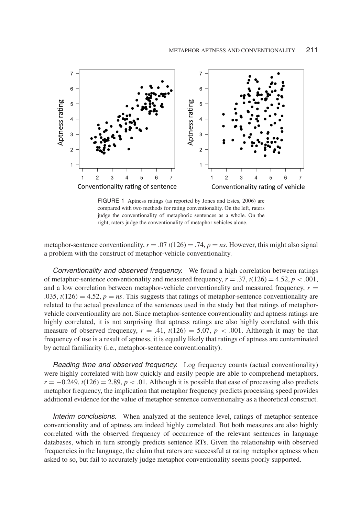

FIGURE 1 Aptness ratings (as reported by Jones and Estes, 2006) are compared with two methods for rating conventionality. On the left, raters judge the conventionality of metaphoric sentences as a whole. On the right, raters judge the conventionality of metaphor vehicles alone.

metaphor-sentence conventionality,  $r = .07 t(126) = .74$ ,  $p = ns$ . However, this might also signal a problem with the construct of metaphor-vehicle conventionality.

*Conventionality and observed frequency.* We found a high correlation between ratings of metaphor-sentence conventionality and measured frequency,  $r = .37$ ,  $t(126) = 4.52$ ,  $p < .001$ , and a low correlation between metaphor-vehicle conventionality and measured frequency,  $r =$ .035,  $t(126) = 4.52$ ,  $p = ns$ . This suggests that ratings of metaphor-sentence conventionality are related to the actual prevalence of the sentences used in the study but that ratings of metaphorvehicle conventionality are not. Since metaphor-sentence conventionality and aptness ratings are highly correlated, it is not surprising that aptness ratings are also highly correlated with this measure of observed frequency,  $r = .41$ ,  $t(126) = 5.07$ ,  $p < .001$ . Although it may be that frequency of use is a result of aptness, it is equally likely that ratings of aptness are contaminated by actual familiarity (i.e., metaphor-sentence conventionality).

*Reading time and observed frequency.* Log frequency counts (actual conventionality) were highly correlated with how quickly and easily people are able to comprehend metaphors,  $r = -0.249$ ,  $t(126) = 2.89$ ,  $p < .01$ . Although it is possible that ease of processing also predicts metaphor frequency, the implication that metaphor frequency predicts processing speed provides additional evidence for the value of metaphor-sentence conventionality as a theoretical construct.

*Interim conclusions.* When analyzed at the sentence level, ratings of metaphor-sentence conventionality and of aptness are indeed highly correlated. But both measures are also highly correlated with the observed frequency of occurrence of the relevant sentences in language databases, which in turn strongly predicts sentence RTs. Given the relationship with observed frequencies in the language, the claim that raters are successful at rating metaphor aptness when asked to so, but fail to accurately judge metaphor conventionality seems poorly supported.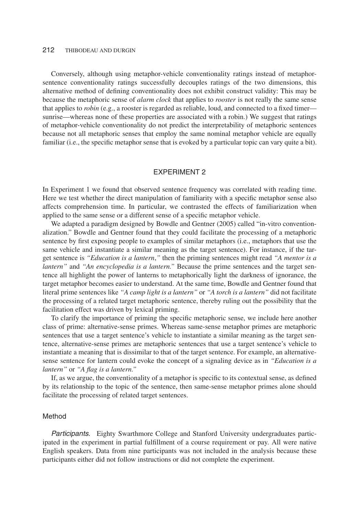Conversely, although using metaphor-vehicle conventionality ratings instead of metaphorsentence conventionality ratings successfully decouples ratings of the two dimensions, this alternative method of defining conventionality does not exhibit construct validity: This may be because the metaphoric sense of *alarm clock* that applies to *rooster* is not really the same sense that applies to *robin* (e.g., a rooster is regarded as reliable, loud, and connected to a fixed timer sunrise—whereas none of these properties are associated with a robin.) We suggest that ratings of metaphor-vehicle conventionality do not predict the interpretability of metaphoric sentences because not all metaphoric senses that employ the same nominal metaphor vehicle are equally familiar (i.e., the specific metaphor sense that is evoked by a particular topic can vary quite a bit).

#### EXPERIMENT 2

In Experiment 1 we found that observed sentence frequency was correlated with reading time. Here we test whether the direct manipulation of familiarity with a specific metaphor sense also affects comprehension time. In particular, we contrasted the effects of familiarization when applied to the same sense or a different sense of a specific metaphor vehicle.

We adapted a paradigm designed by Bowdle and Gentner (2005) called "in-vitro conventionalization." Bowdle and Gentner found that they could facilitate the processing of a metaphoric sentence by first exposing people to examples of similar metaphors (i.e., metaphors that use the same vehicle and instantiate a similar meaning as the target sentence). For instance, if the target sentence is *"Education is a lantern*,*"* then the priming sentences might read *"A mentor is a lantern"* and *"An encyclopedia is a lantern."* Because the prime sentences and the target sentence all highlight the power of lanterns to metaphorically light the darkness of ignorance, the target metaphor becomes easier to understand. At the same time, Bowdle and Gentner found that literal prime sentences like *"A camp light is a lantern"* or *"A torch is a lantern"* did not facilitate the processing of a related target metaphoric sentence, thereby ruling out the possibility that the facilitation effect was driven by lexical priming.

To clarify the importance of priming the specific metaphoric sense, we include here another class of prime: alternative-sense primes. Whereas same-sense metaphor primes are metaphoric sentences that use a target sentence's vehicle to instantiate a similar meaning as the target sentence, alternative-sense primes are metaphoric sentences that use a target sentence's vehicle to instantiate a meaning that is dissimilar to that of the target sentence. For example, an alternativesense sentence for lantern could evoke the concept of a signaling device as in *"Education is a lantern"* or *"A flag is a lantern."*

If, as we argue, the conventionality of a metaphor is specific to its contextual sense, as defined by its relationship to the topic of the sentence, then same-sense metaphor primes alone should facilitate the processing of related target sentences.

#### Method

*Participants.* Eighty Swarthmore College and Stanford University undergraduates participated in the experiment in partial fulfillment of a course requirement or pay. All were native English speakers. Data from nine participants was not included in the analysis because these participants either did not follow instructions or did not complete the experiment.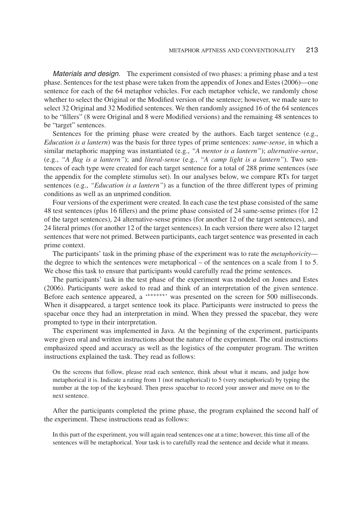*Materials and design.* The experiment consisted of two phases: a priming phase and a test phase. Sentences for the test phase were taken from the appendix of Jones and Estes (2006)—one sentence for each of the 64 metaphor vehicles. For each metaphor vehicle, we randomly chose whether to select the Original or the Modified version of the sentence; however, we made sure to select 32 Original and 32 Modified sentences. We then randomly assigned 16 of the 64 sentences to be "fillers" (8 were Original and 8 were Modified versions) and the remaining 48 sentences to be "target" sentences.

Sentences for the priming phase were created by the authors. Each target sentence (e.g., *Education is a lantern*) was the basis for three types of prime sentences: *same-sense*, in which a similar metaphoric mapping was instantiated (e.g., *"A mentor is a lantern"*); *alternative-sense*, (e.g., *"A flag is a lantern"*); and *literal-sense* (e.g., *"A camp light is a lantern"*). Two sentences of each type were created for each target sentence for a total of 288 prime sentences (see the appendix for the complete stimulus set). In our analyses below, we compare RTs for target sentences (e.g., *"Education is a lantern"*) as a function of the three different types of priming conditions as well as an unprimed condition.

Four versions of the experiment were created. In each case the test phase consisted of the same 48 test sentences (plus 16 fillers) and the prime phase consisted of 24 same-sense primes (for 12 of the target sentences), 24 alternative-sense primes (for another 12 of the target sentences), and 24 literal primes (for another 12 of the target sentences). In each version there were also 12 target sentences that were not primed. Between participants, each target sentence was presented in each prime context.

The participants' task in the priming phase of the experiment was to rate the *metaphoricity* the degree to which the sentences were metaphorical – of the sentences on a scale from 1 to 5. We chose this task to ensure that participants would carefully read the prime sentences.

The participants' task in the test phase of the experiment was modeled on Jones and Estes (2006). Participants were asked to read and think of an interpretation of the given sentence. Before each sentence appeared, a  $\cdot$  \*\*\*\*\*\*' was presented on the screen for 500 milliseconds. When it disappeared, a target sentence took its place. Participants were instructed to press the spacebar once they had an interpretation in mind. When they pressed the spacebar, they were prompted to type in their interpretation.

The experiment was implemented in Java. At the beginning of the experiment, participants were given oral and written instructions about the nature of the experiment. The oral instructions emphasized speed and accuracy as well as the logistics of the computer program. The written instructions explained the task. They read as follows:

On the screens that follow, please read each sentence, think about what it means, and judge how metaphorical it is. Indicate a rating from 1 (not metaphorical) to 5 (very metaphorical) by typing the number at the top of the keyboard. Then press spacebar to record your answer and move on to the next sentence.

After the participants completed the prime phase, the program explained the second half of the experiment. These instructions read as follows:

In this part of the experiment, you will again read sentences one at a time; however, this time all of the sentences will be metaphorical. Your task is to carefully read the sentence and decide what it means.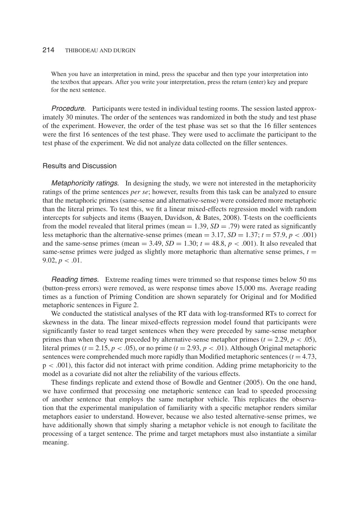When you have an interpretation in mind, press the spacebar and then type your interpretation into the textbox that appears. After you write your interpretation, press the return (enter) key and prepare for the next sentence.

*Procedure.* Participants were tested in individual testing rooms. The session lasted approximately 30 minutes. The order of the sentences was randomized in both the study and test phase of the experiment. However, the order of the test phase was set so that the 16 filler sentences were the first 16 sentences of the test phase. They were used to acclimate the participant to the test phase of the experiment. We did not analyze data collected on the filler sentences.

#### Results and Discussion

*Metaphoricity ratings.* In designing the study, we were not interested in the metaphoricity ratings of the prime sentences *per se*; however, results from this task can be analyzed to ensure that the metaphoric primes (same-sense and alternative-sense) were considered more metaphoric than the literal primes. To test this, we fit a linear mixed-effects regression model with random intercepts for subjects and items (Baayen, Davidson, & Bates, 2008). T-tests on the coefficients from the model revealed that literal primes (mean  $= 1.39$ ,  $SD = .79$ ) were rated as significantly less metaphoric than the alternative-sense primes (mean  $=$  3.17, *SD*  $=$  1.37; *t*  $=$  57.9, *p*  $<$  .001) and the same-sense primes (mean = 3.49,  $SD = 1.30$ ;  $t = 48.8$ ,  $p < .001$ ). It also revealed that same-sense primes were judged as slightly more metaphoric than alternative sense primes,  $t =$ 9.02,  $p < .01$ .

*Reading times.* Extreme reading times were trimmed so that response times below 50 ms (button-press errors) were removed, as were response times above 15,000 ms. Average reading times as a function of Priming Condition are shown separately for Original and for Modified metaphoric sentences in Figure 2.

We conducted the statistical analyses of the RT data with log-transformed RTs to correct for skewness in the data. The linear mixed-effects regression model found that participants were significantly faster to read target sentences when they were preceded by same-sense metaphor primes than when they were preceded by alternative-sense metaphor primes ( $t = 2.29$ ,  $p < .05$ ), literal primes ( $t = 2.15$ ,  $p < .05$ ), or no prime ( $t = 2.93$ ,  $p < .01$ ). Although Original metaphoric sentences were comprehended much more rapidly than Modified metaphoric sentences  $(t = 4.73)$ , p *<* .001), this factor did not interact with prime condition. Adding prime metaphoricity to the model as a covariate did not alter the reliability of the various effects.

These findings replicate and extend those of Bowdle and Gentner (2005). On the one hand, we have confirmed that processing one metaphoric sentence can lead to speeded processing of another sentence that employs the same metaphor vehicle. This replicates the observation that the experimental manipulation of familiarity with a specific metaphor renders similar metaphors easier to understand. However, because we also tested alternative-sense primes, we have additionally shown that simply sharing a metaphor vehicle is not enough to facilitate the processing of a target sentence. The prime and target metaphors must also instantiate a similar meaning.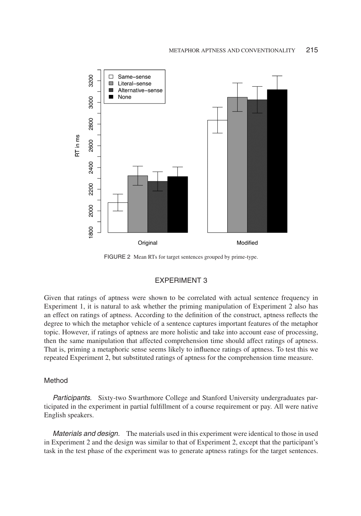

FIGURE 2 Mean RTs for target sentences grouped by prime-type.

#### EXPERIMENT 3

Given that ratings of aptness were shown to be correlated with actual sentence frequency in Experiment 1, it is natural to ask whether the priming manipulation of Experiment 2 also has an effect on ratings of aptness. According to the definition of the construct, aptness reflects the degree to which the metaphor vehicle of a sentence captures important features of the metaphor topic. However, if ratings of aptness are more holistic and take into account ease of processing, then the same manipulation that affected comprehension time should affect ratings of aptness. That is, priming a metaphoric sense seems likely to influence ratings of aptness. To test this we repeated Experiment 2, but substituted ratings of aptness for the comprehension time measure.

#### Method

*Participants.* Sixty-two Swarthmore College and Stanford University undergraduates participated in the experiment in partial fulfillment of a course requirement or pay. All were native English speakers.

*Materials and design.* The materials used in this experiment were identical to those in used in Experiment 2 and the design was similar to that of Experiment 2, except that the participant's task in the test phase of the experiment was to generate aptness ratings for the target sentences.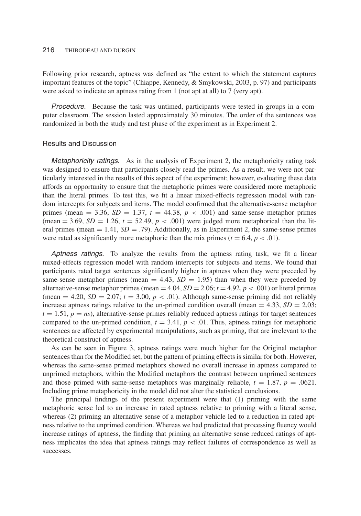Following prior research, aptness was defined as "the extent to which the statement captures important features of the topic" (Chiappe, Kennedy, & Smykowski, 2003, p. 97) and participants were asked to indicate an aptness rating from 1 (not apt at all) to 7 (very apt).

*Procedure.* Because the task was untimed, participants were tested in groups in a computer classroom. The session lasted approximately 30 minutes. The order of the sentences was randomized in both the study and test phase of the experiment as in Experiment 2.

#### Results and Discussion

*Metaphoricity ratings.* As in the analysis of Experiment 2, the metaphoricity rating task was designed to ensure that participants closely read the primes. As a result, we were not particularly interested in the results of this aspect of the experiment; however, evaluating these data affords an opportunity to ensure that the metaphoric primes were considered more metaphoric than the literal primes. To test this, we fit a linear mixed-effects regression model with random intercepts for subjects and items. The model confirmed that the alternative-sense metaphor primes (mean  $= 3.36$ ,  $SD = 1.37$ ,  $t = 44.38$ ,  $p < .001$ ) and same-sense metaphor primes (mean = 3.69,  $SD = 1.26$ ,  $t = 52.49$ ,  $p < .001$ ) were judged more metaphorical than the literal primes (mean  $= 1.41$ ,  $SD = .79$ ). Additionally, as in Experiment 2, the same-sense primes were rated as significantly more metaphoric than the mix primes ( $t = 6.4$ ,  $p < .01$ ).

*Aptness ratings.* To analyze the results from the aptness rating task, we fit a linear mixed-effects regression model with random intercepts for subjects and items. We found that participants rated target sentences significantly higher in aptness when they were preceded by same-sense metaphor primes (mean  $= 4.43$ ,  $SD = 1.95$ ) than when they were preceded by alternative-sense metaphor primes (mean  $= 4.04$ ,  $SD = 2.06$ ;  $t = 4.92$ ,  $p < .001$ ) or literal primes (mean  $= 4.20$ ,  $SD = 2.07$ ;  $t = 3.00$ ,  $p < .01$ ). Although same-sense priming did not reliably increase aptness ratings relative to the un-primed condition overall (mean  $= 4.33$ ,  $SD = 2.03$ ;  $t = 1.51$ ,  $p = ns$ ), alternative-sense primes reliably reduced aptness ratings for target sentences compared to the un-primed condition,  $t = 3.41$ ,  $p < .01$ . Thus, aptness ratings for metaphoric sentences are affected by experimental manipulations, such as priming, that are irrelevant to the theoretical construct of aptness.

As can be seen in Figure 3, aptness ratings were much higher for the Original metaphor sentences than for the Modified set, but the pattern of priming effects is similar for both. However, whereas the same-sense primed metaphors showed no overall increase in aptness compared to unprimed metaphors, within the Modified metaphors the contrast between unprimed sentences and those primed with same-sense metaphors was marginally reliable,  $t = 1.87$ ,  $p = .0621$ . Including prime metaphoricity in the model did not alter the statistical conclusions.

The principal findings of the present experiment were that (1) priming with the same metaphoric sense led to an increase in rated aptness relative to priming with a literal sense, whereas (2) priming an alternative sense of a metaphor vehicle led to a reduction in rated aptness relative to the unprimed condition. Whereas we had predicted that processing fluency would increase ratings of aptness, the finding that priming an alternative sense reduced ratings of aptness implicates the idea that aptness ratings may reflect failures of correspondence as well as successes.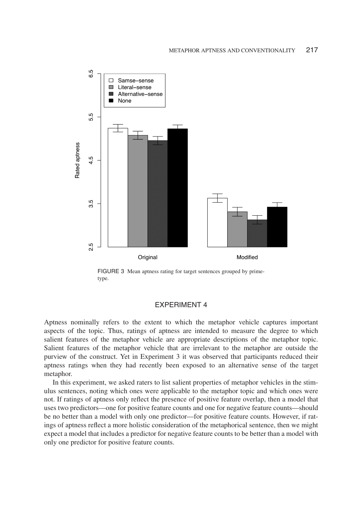

FIGURE 3 Mean aptness rating for target sentences grouped by primetype.

#### EXPERIMENT 4

Aptness nominally refers to the extent to which the metaphor vehicle captures important aspects of the topic. Thus, ratings of aptness are intended to measure the degree to which salient features of the metaphor vehicle are appropriate descriptions of the metaphor topic. Salient features of the metaphor vehicle that are irrelevant to the metaphor are outside the purview of the construct. Yet in Experiment 3 it was observed that participants reduced their aptness ratings when they had recently been exposed to an alternative sense of the target metaphor.

In this experiment, we asked raters to list salient properties of metaphor vehicles in the stimulus sentences, noting which ones were applicable to the metaphor topic and which ones were not. If ratings of aptness only reflect the presence of positive feature overlap, then a model that uses two predictors—one for positive feature counts and one for negative feature counts—should be no better than a model with only one predictor—for positive feature counts. However, if ratings of aptness reflect a more holistic consideration of the metaphorical sentence, then we might expect a model that includes a predictor for negative feature counts to be better than a model with only one predictor for positive feature counts.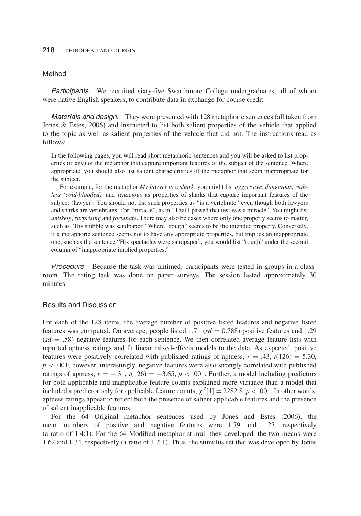#### Method

*Participants.* We recruited sixty-five Swarthmore College undergraduates, all of whom were native English speakers, to contribute data in exchange for course credit.

*Materials and design.* They were presented with 128 metaphoric sentences (all taken from Jones & Estes, 2006) and instructed to list both salient properties of the vehicle that applied to the topic as well as salient properties of the vehicle that did not. The instructions read as follows:

In the following pages, you will read short metaphoric sentences and you will be asked to list properties (if any) of the metaphor that capture important features of the subject of the sentence. Where appropriate, you should also list salient characteristics of the metaphor that seem inappropriate for the subject.

For example, for the metaphor *My lawyer is a shark*, you might list *aggressive, dangerous, ruthless (cold-blooded),* and *tenacious* as properties of sharks that capture important features of the subject (lawyer). You should not list such properties as "is a vertebrate" even though both lawyers and sharks are vertebrates. For "miracle", as in "That I passed that test was a miracle." You might list *unlikely*, *surprising* and *fortunate*. There may also be cases where only one property seems to matter, such as "His stubble was sandpaper." Where "rough" seems to be the intended property. Conversely, if a metaphoric sentence seems not to have any appropriate properties, but implies an inappropriate one, such as the sentence "His spectacles were sandpaper", you would list "rough" under the second column of "inappropriate implied properties."

*Procedure.* Because the task was untimed, participants were tested in groups in a classroom. The rating task was done on paper surveys. The session lasted approximately 30 minutes.

#### Results and Discussion

For each of the 128 items, the average number of positive listed features and negative listed features was computed. On average, people listed 1.71 ( $sd = 0.788$ ) positive features and 1.29 (*sd* = .58) negative features for each sentence. We then correlated average feature lists with reported aptness ratings and fit linear mixed-effects models to the data. As expected, positive features were positively correlated with published ratings of aptness,  $r = .43$ ,  $t(126) = 5.30$ , *p <* .001; however, interestingly, negative features were also strongly correlated with published ratings of aptness,  $r = -.31$ ,  $t(126) = -3.65$ ,  $p < .001$ . Further, a model including predictors for both applicable and inapplicable feature counts explained more variance than a model that included a predictor only for applicable feature counts,  $\chi^2[1] = 2282.8$ ,  $p < .001$ . In other words, aptness ratings appear to reflect both the presence of salient applicable features and the presence of salient inapplicable features.

For the 64 Original metaphor sentences used by Jones and Estes (2006), the mean numbers of positive and negative features were 1.79 and 1.27, respectively (a ratio of 1.4:1). For the 64 Modified metaphor stimuli they developed, the two means were 1.62 and 1.34, respectively (a ratio of 1.2:1). Thus, the stimulus set that was developed by Jones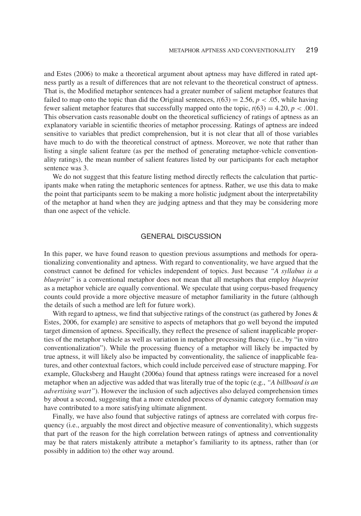and Estes (2006) to make a theoretical argument about aptness may have differed in rated aptness partly as a result of differences that are not relevant to the theoretical construct of aptness. That is, the Modified metaphor sentences had a greater number of salient metaphor features that failed to map onto the topic than did the Original sentences,  $t(63) = 2.56$ ,  $p < .05$ , while having fewer salient metaphor features that successfully mapped onto the topic,  $t(63) = 4.20$ ,  $p < .001$ . This observation casts reasonable doubt on the theoretical sufficiency of ratings of aptness as an explanatory variable in scientific theories of metaphor processing. Ratings of aptness are indeed sensitive to variables that predict comprehension, but it is not clear that all of those variables have much to do with the theoretical construct of aptness. Moreover, we note that rather than listing a single salient feature (as per the method of generating metaphor-vehicle conventionality ratings), the mean number of salient features listed by our participants for each metaphor sentence was 3.

We do not suggest that this feature listing method directly reflects the calculation that participants make when rating the metaphoric sentences for aptness. Rather, we use this data to make the point that participants seem to be making a more holistic judgment about the interpretability of the metaphor at hand when they are judging aptness and that they may be considering more than one aspect of the vehicle.

#### GENERAL DISCUSSION

In this paper, we have found reason to question previous assumptions and methods for operationalizing conventionality and aptness. With regard to conventionality, we have argued that the construct cannot be defined for vehicles independent of topics. Just because *"A syllabus is a blueprint"* is a conventional metaphor does not mean that all metaphors that employ *blueprint* as a metaphor vehicle are equally conventional. We speculate that using corpus-based frequency counts could provide a more objective measure of metaphor familiarity in the future (although the details of such a method are left for future work).

With regard to aptness, we find that subjective ratings of the construct (as gathered by Jones  $\&$ Estes, 2006, for example) are sensitive to aspects of metaphors that go well beyond the imputed target dimension of aptness. Specifically, they reflect the presence of salient inapplicable properties of the metaphor vehicle as well as variation in metaphor processing fluency (i.e., by "in vitro conventionalization"). While the processing fluency of a metaphor will likely be impacted by true aptness, it will likely also be impacted by conventionality, the salience of inapplicable features, and other contextual factors, which could include perceived ease of structure mapping. For example, Glucksberg and Haught (2006a) found that aptness ratings were increased for a novel metaphor when an adjective was added that was literally true of the topic (e.g., *"A billboard is an advertising wart"*). However the inclusion of such adjectives also delayed comprehension times by about a second, suggesting that a more extended process of dynamic category formation may have contributed to a more satisfying ultimate alignment.

Finally, we have also found that subjective ratings of aptness are correlated with corpus frequency (i.e., arguably the most direct and objective measure of conventionality), which suggests that part of the reason for the high correlation between ratings of aptness and conventionality may be that raters mistakenly attribute a metaphor's familiarity to its aptness, rather than (or possibly in addition to) the other way around.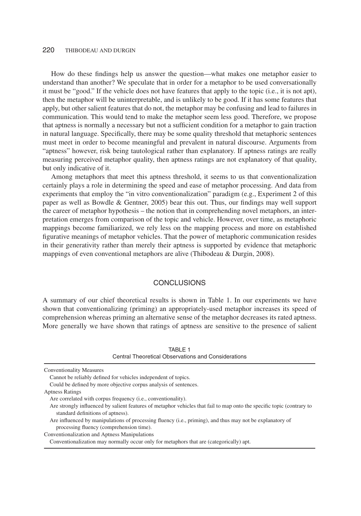How do these findings help us answer the question—what makes one metaphor easier to understand than another? We speculate that in order for a metaphor to be used conversationally it must be "good." If the vehicle does not have features that apply to the topic (i.e., it is not apt), then the metaphor will be uninterpretable, and is unlikely to be good. If it has some features that apply, but other salient features that do not, the metaphor may be confusing and lead to failures in communication. This would tend to make the metaphor seem less good. Therefore, we propose that aptness is normally a necessary but not a sufficient condition for a metaphor to gain traction in natural language. Specifically, there may be some quality threshold that metaphoric sentences must meet in order to become meaningful and prevalent in natural discourse. Arguments from "aptness" however, risk being tautological rather than explanatory. If aptness ratings are really measuring perceived metaphor quality, then aptness ratings are not explanatory of that quality, but only indicative of it.

Among metaphors that meet this aptness threshold, it seems to us that conventionalization certainly plays a role in determining the speed and ease of metaphor processing. And data from experiments that employ the "in vitro conventionalization" paradigm (e.g., Experiment 2 of this paper as well as Bowdle & Gentner, 2005) bear this out. Thus, our findings may well support the career of metaphor hypothesis – the notion that in comprehending novel metaphors, an interpretation emerges from comparison of the topic and vehicle. However, over time, as metaphoric mappings become familiarized, we rely less on the mapping process and more on established figurative meanings of metaphor vehicles. That the power of metaphoric communication resides in their generativity rather than merely their aptness is supported by evidence that metaphoric mappings of even conventional metaphors are alive (Thibodeau & Durgin, 2008).

#### **CONCLUSIONS**

A summary of our chief theoretical results is shown in Table 1. In our experiments we have shown that conventionalizing (priming) an appropriately-used metaphor increases its speed of comprehension whereas priming an alternative sense of the metaphor decreases its rated aptness. More generally we have shown that ratings of aptness are sensitive to the presence of salient

| TABI F 1                                            |
|-----------------------------------------------------|
| Central Theoretical Observations and Considerations |

Conventionality Measures

Aptness Ratings

Cannot be reliably defined for vehicles independent of topics.

Could be defined by more objective corpus analysis of sentences.

Are correlated with corpus frequency (i.e., conventionality).

Are strongly influenced by salient features of metaphor vehicles that fail to map onto the specific topic (contrary to standard definitions of aptness).

Are influenced by manipulations of processing fluency (i.e., priming), and thus may not be explanatory of processing fluency (comprehension time).

Conventionalization and Aptness Manipulations

Conventionalization may normally occur only for metaphors that are (categorically) apt.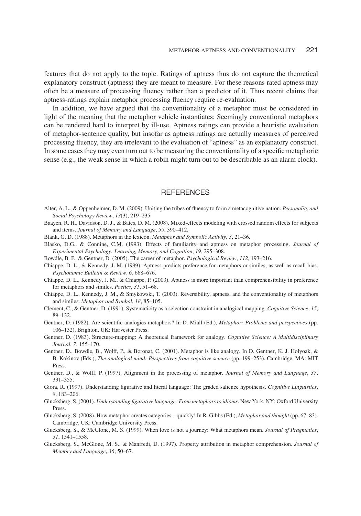features that do not apply to the topic. Ratings of aptness thus do not capture the theoretical explanatory construct (aptness) they are meant to measure. For these reasons rated aptness may often be a measure of processing fluency rather than a predictor of it. Thus recent claims that aptness-ratings explain metaphor processing fluency require re-evaluation.

In addition, we have argued that the conventionality of a metaphor must be considered in light of the meaning that the metaphor vehicle instantiates: Seemingly conventional metaphors can be rendered hard to interpret by ill-use. Aptness ratings can provide a heuristic evaluation of metaphor-sentence quality, but insofar as aptness ratings are actually measures of perceived processing fluency, they are irrelevant to the evaluation of "aptness" as an explanatory construct. In some cases they may even turn out to be measuring the conventionality of a specific metaphoric sense (e.g., the weak sense in which a robin might turn out to be describable as an alarm clock).

#### **REFERENCES**

- Alter, A. L., & Oppenheimer, D. M. (2009). Uniting the tribes of fluency to form a metacognitive nation. *Personality and Social Psychology Review*, *13*(3), 219–235.
- Baayen, R. H., Davidson, D. J., & Bates, D. M. (2008). Mixed-effects modeling with crossed random effects for subjects and items. *Journal of Memory and Language*, *59*, 390–412.
- Blank, G. D. (1988). Metaphors in the lexicon. *Metaphor and Symbolic Activity*, *3*, 21–36.
- Blasko, D.G., & Connine, C.M. (1993). Effects of familiarity and aptness on metaphor processing. *Journal of Experimental Psychology: Learning, Memory, and Cognition*, *19*, 295–308.
- Bowdle, B. F., & Gentner, D. (2005). The career of metaphor. *Psychological Review*, *112*, 193–216.
- Chiappe, D. L., & Kennedy, J. M. (1999). Aptness predicts preference for metaphors or similes, as well as recall bias. *Psychonomic Bulletin & Review*, *6*, 668–676.
- Chiappe, D. L., Kennedy, J. M., & Chiappe, P. (2003). Aptness is more important than comprehensibility in preference for metaphors and similes. *Poetics*, *31*, 51–68.
- Chiappe, D. L., Kennedy, J. M., & Smykowski, T. (2003). Reversibility, aptness, and the conventionality of metaphors and similes. *Metaphor and Symbol*, *18*, 85–105.
- Clement, C., & Gentner, D. (1991). Systematicity as a selection constraint in analogical mapping. *Cognitive Science*, *15*, 89–132.
- Gentner, D. (1982). Are scientific analogies metaphors? In D. Miall (Ed.), *Metaphor: Problems and perspectives* (pp. 106–132). Brighton, UK: Harvester Press.
- Gentner, D. (1983). Structure-mapping: A theoretical framework for analogy. *Cognitive Science: A Multidisciplinary Journal*, *7*, 155–170.
- Gentner, D., Bowdle, B., Wolff, P., & Boronat, C. (2001). Metaphor is like analogy. In D. Gentner, K. J. Holyoak, & B. Kokinov (Eds.), *The analogical mind: Perspectives from cognitive science* (pp. 199–253). Cambridge, MA: MIT Press.
- Gentner, D., & Wolff, P. (1997). Alignment in the processing of metaphor. *Journal of Memory and Language*, *37*, 331–355.
- Giora, R. (1997). Understanding figurative and literal language: The graded salience hypothesis. *Cognitive Linguistics*, *8*, 183–206.
- Glucksberg, S. (2001). *Understanding figurative language: From metaphors to idioms*. New York, NY: Oxford University Press.
- Glucksberg, S. (2008). How metaphor creates categories quickly! In R. Gibbs (Ed.), *Metaphor and thought* (pp. 67–83). Cambridge, UK: Cambridge University Press.
- Glucksberg, S., & McGlone, M. S. (1999). When love is not a journey: What metaphors mean. *Journal of Pragmatics*, *31*, 1541–1558.
- Glucksberg, S., McGlone, M. S., & Manfredi, D. (1997). Property attribution in metaphor comprehension. *Journal of Memory and Language*, *36*, 50–67.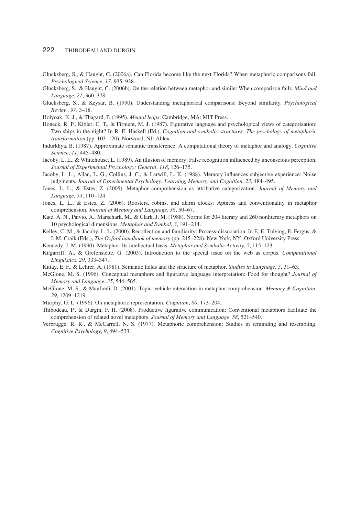- Glucksberg, S., & Haught, C. (2006a). Can Florida become like the next Florida? When metaphoric comparisons fail. *Psychological Science*, *17*, 935–938.
- Glucksberg, S., & Haught, C. (2006b). On the relation between metaphor and simile: When comparison fails. *Mind and Language*, *21*, 360–378.
- Glucksberg, S., & Keysar, B. (1990). Understanding metaphorical comparisons: Beyond similarity. *Psychological Review*, *97*, 3–18.
- Holyoak, K. J., & Thagard, P. (1995). *Mental leaps*. Cambridge, MA: MIT Press.
- Honeck, R. P., Kibler, C. T., & Firment, M. J. (1987). Figurative language and psychological views of categorization: Two ships in the night? In R. E. Haskell (Ed.), *Cognition and symbolic structures: The psychology of metaphoric transformation* (pp. 103–120). Norwood, NJ: Ablex.
- Indurkhya, B. (1987). Approximate semantic transference: A computational theory of metaphor and analogy. *Cognitive Science*, *11*, 445–480.
- Jacoby, L. L., & Whitehouse, L. (1989). An illusion of memory: False recognition influenced by unconscious perception. *Journal of Experimental Psychology: General*, *118*, 126–135.
- Jacoby, L. L., Allan, L. G., Collins, J. C., & Larwill, L. K. (1988). Memory influences subjective experience: Noise judgments. *Journal of Experimental Psychology: Learning, Memory, and Cognition*, *23*, 484–495.
- Jones, L. L., & Estes, Z. (2005). Metaphor comprehension as attributive categorization. *Journal of Memory and Language*, *53*, 110–124.
- Jones, L. L., & Estes, Z. (2006). Roosters, robins, and alarm clocks: Aptness and conventionality in metaphor comprehension. *Journal of Memory and Language*, *36*, 50–67.
- Katz, A. N., Paivio, A., Marschark, M., & Clark, J. M. (1988). Norms for 204 literary and 260 nonliterary metaphors on 10 psychological dimensions. *Metaphor and Symbol*, *3*, 191–214.
- Kelley, C. M., & Jacoby, L. L. (2000). Recollection and familiarity: Process-dissociation. In E. E. Tulving, E. Fergus, & I. M. Craik (Eds.), *The Oxford handbook of memory* (pp. 215–228). New York, NY: Oxford University Press.
- Kennedy, J. M. (1990). Metaphor–Its intellectual basis. *Metaphor and Symbolic Activity*, *5*, 115–123.
- Kilgarriff, A., & Grefenstette, G. (2003). Introduction to the special issue on the web as corpus. *Computational Linguistics*, *29*, 333–347.
- Kittay, E. F., & Lehrer, A. (1981). Semantic fields and the structure of metaphor. *Studies in Language*, *5*, 31–63.
- McGlone, M. S. (1996). Conceptual metaphors and figurative language interpretation: Food for thought? *Journal of Memory and Language*, *35*, 544–565.
- McGlone, M. S., & Manfredi, D. (2001). Topic–vehicle interaction in metaphor comprehension. *Memory & Cognition*, *29*, 1209–1219.
- Murphy, G. L. (1996). On metaphoric representation. *Cognition*, *60*, 173–204.
- Thibodeau, P., & Durgin, F. H. (2008). Productive figurative communication: Conventional metaphors facilitate the comprehension of related novel metaphors. *Journal of Memory and Language*, *58*, 521–540.
- Verbrugge, R. R., & McCarrell, N. S. (1977). Metaphoric comprehension: Studies in reminding and resembling. *Cognitive Psychology*, *9*, 494–533.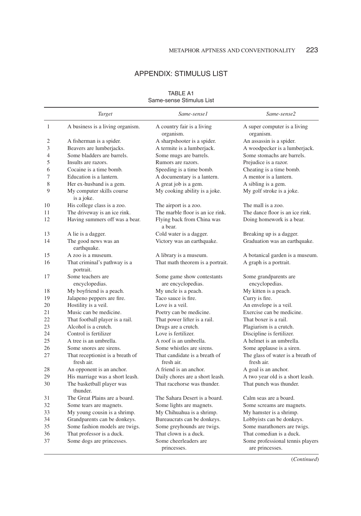# APPENDIX: STIMULUS LIST

|    | Target                                         | Same-sense1                                      | Same-sense2                                         |
|----|------------------------------------------------|--------------------------------------------------|-----------------------------------------------------|
| 1  | A business is a living organism.               | A country fair is a living<br>organism.          | A super computer is a living<br>organism.           |
| 2  | A fisherman is a spider.                       | A sharpshooter is a spider.                      | An assassin is a spider.                            |
| 3  | Beavers are lumberjacks.                       | A termite is a lumberjack.                       | A woodpecker is a lumberjack.                       |
| 4  | Some bladders are barrels.                     | Some mugs are barrels.                           | Some stomachs are barrels.                          |
| 5  | Insults are razors.                            | Rumors are razors.                               | Prejudice is a razor.                               |
| 6  | Cocaine is a time bomb.                        | Speeding is a time bomb.                         | Cheating is a time bomb.                            |
| 7  | Education is a lantern.                        | A documentary is a lantern.                      | A mentor is a lantern.                              |
| 8  | Her ex-husband is a gem.                       | A great job is a gem.                            | A sibling is a gem.                                 |
| 9  | My computer skills course<br>is a joke.        | My cooking ability is a joke.                    | My golf stroke is a joke.                           |
| 10 | His college class is a zoo.                    | The airport is a zoo.                            | The mall is a zoo.                                  |
| 11 | The driveway is an ice rink.                   | The marble floor is an ice rink.                 | The dance floor is an ice rink.                     |
| 12 | Having summers off was a bear.                 | Flying back from China was<br>a bear.            | Doing homework is a bear.                           |
| 13 | A lie is a dagger.                             | Cold water is a dagger.                          | Breaking up is a dagger.                            |
| 14 | The good news was an<br>earthquake.            | Victory was an earthquake.                       | Graduation was an earthquake.                       |
| 15 | A zoo is a museum.                             | A library is a museum.                           | A botanical garden is a museum.                     |
| 16 | That criminal's pathway is a<br>portrait.      | That math theorem is a portrait.                 | A graph is a portrait.                              |
| 17 | Some teachers are<br>encyclopedias.            | Some game show contestants<br>are encyclopedias. | Some grandparents are<br>encyclopedias.             |
| 18 | My boyfriend is a peach.                       | My uncle is a peach.                             | My kitten is a peach.                               |
| 19 | Jalapeno peppers are fire.                     | Taco sauce is fire.                              | Curry is fire.                                      |
| 20 | Hostility is a veil.                           | Love is a veil.                                  | An envelope is a veil.                              |
| 21 | Music can be medicine.                         | Poetry can be medicine.                          | Exercise can be medicine.                           |
| 22 | That football player is a rail.                | That power lifter is a rail.                     | That boxer is a rail.                               |
| 23 | Alcohol is a crutch.                           | Drugs are a crutch.                              | Plagiarism is a crutch.                             |
| 24 | Control is fertilizer                          | Love is fertilizer.                              | Discipline is fertilizer.                           |
| 25 | A tree is an umbrella.                         | A roof is an umbrella.                           | A helmet is an umbrella.                            |
| 26 | Some snores are sirens.                        | Some whistles are sirens.                        | Some applause is a siren.                           |
| 27 | That receptionist is a breath of<br>fresh air. | That candidate is a breath of<br>fresh air.      | The glass of water is a breath of<br>fresh air.     |
| 28 | An opponent is an anchor.                      | A friend is an anchor.                           | A goal is an anchor.                                |
| 29 | His marriage was a short leash.                | Daily chores are a short leash.                  | A two year old is a short leash.                    |
| 30 | The basketball player was<br>thunder.          | That racehorse was thunder.                      | That punch was thunder.                             |
| 31 | The Great Plains are a board.                  | The Sahara Desert is a board.                    | Calm seas are a board.                              |
| 32 | Some tears are magnets.                        | Some lights are magnets.                         | Some screams are magnets.                           |
| 33 | My young cousin is a shrimp.                   | My Chihuahua is a shrimp.                        | My hamster is a shrimp.                             |
| 34 | Grandparents can be donkeys.                   | Bureaucrats can be donkeys.                      | Lobbyists can be donkeys.                           |
| 35 | Some fashion models are twigs.                 | Some greyhounds are twigs.                       | Some marathoners are twigs.                         |
| 36 | That professor is a duck.                      | That clown is a duck.                            | That comedian is a duck.                            |
| 37 | Some dogs are princesses.                      | Some cheerleaders are<br>princesses.             | Some professional tennis players<br>are princesses. |

TABLE A1 Same-sense Stimulus List

(*Continued*)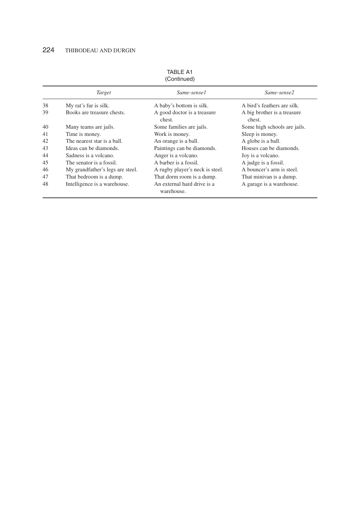|    | Target                           | Same-sense1                               | Same-sense2                           |
|----|----------------------------------|-------------------------------------------|---------------------------------------|
| 38 | My rat's fur is silk.            | A baby's bottom is silk.                  | A bird's feathers are silk.           |
| 39 | Books are treasure chests.       | A good doctor is a treasure<br>chest.     | A big brother is a treasure<br>chest. |
| 40 | Many teams are jails.            | Some families are jails.                  | Some high schools are jails.          |
| 41 | Time is money.                   | Work is money.                            | Sleep is money.                       |
| 42 | The nearest star is a ball.      | An orange is a ball.                      | A globe is a ball.                    |
| 43 | Ideas can be diamonds.           | Paintings can be diamonds.                | Houses can be diamonds.               |
| 44 | Sadness is a volcano.            | Anger is a volcano.                       | Joy is a volcano.                     |
| 45 | The senator is a fossil.         | A barber is a fossil.                     | A judge is a fossil.                  |
| 46 | My grandfather's legs are steel. | A rugby player's neck is steel.           | A bouncer's arm is steel.             |
| 47 | That bedroom is a dump.          | That dorm room is a dump.                 | That minivan is a dump.               |
| 48 | Intelligence is a warehouse.     | An external hard drive is a<br>warehouse. | A garage is a warehouse.              |

TABLE A1 (Continued)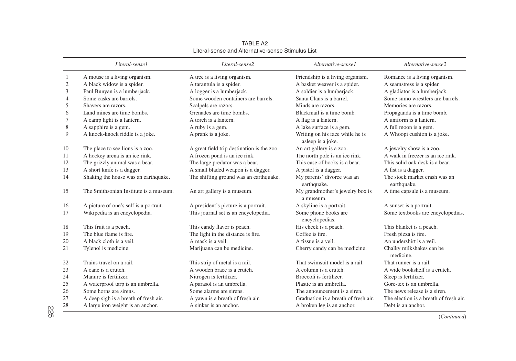|                | Literal-sense1                         | Literal-sense2                             | Alternative-sense1                                   | Alternative-sense2                           |
|----------------|----------------------------------------|--------------------------------------------|------------------------------------------------------|----------------------------------------------|
| 1              | A mouse is a living organism.          | A tree is a living organism.               | Friendship is a living organism.                     | Romance is a living organism.                |
| $\mathfrak{2}$ | A black widow is a spider.             | A tarantula is a spider.                   | A basket weaver is a spider.                         | A seamstress is a spider.                    |
| 3              | Paul Bunyan is a lumberjack.           | A logger is a lumberjack.                  | A soldier is a lumberjack.                           | A gladiator is a lumberjack.                 |
| 4              | Some casks are barrels.                | Some wooden containers are barrels.        | Santa Claus is a barrel.                             | Some sumo wrestlers are barrels.             |
| 5              | Shavers are razors.                    | Scalpels are razors.                       | Minds are razors.                                    | Memories are razors.                         |
| 6              | Land mines are time bombs.             | Grenades are time bombs.                   | Blackmail is a time bomb.                            | Propaganda is a time bomb.                   |
| 7              | A camp light is a lantern.             | A torch is a lantern.                      | A flag is a lantern.                                 | A uniform is a lantern.                      |
| 8              | A sapphire is a gem.                   | A ruby is a gem.                           | A lake surface is a gem.                             | A full moon is a gem.                        |
| 9              | A knock-knock riddle is a joke.        | A prank is a joke.                         | Writing on his face while he is<br>asleep is a joke. | A Whoopi cushion is a joke.                  |
| 10             | The place to see lions is a zoo.       | A great field trip destination is the zoo. | An art gallery is a zoo.                             | A jewelry show is a zoo.                     |
| 11             | A hockey arena is an ice rink.         | A frozen pond is an ice rink.              | The north pole is an ice rink.                       | A walk in freezer is an ice rink.            |
| 12             | The grizzly animal was a bear.         | The large predator was a bear.             | This case of books is a bear.                        | This solid oak desk is a bear.               |
| 13             | A short knife is a dagger.             | A small bladed weapon is a dagger.         | A pistol is a dagger.                                | A fist is a dagger.                          |
| 14             | Shaking the house was an earthquake.   | The shifting ground was an earthquake.     | My parents' divorce was an<br>earthquake.            | The stock market crash was an<br>earthquake. |
| 15             | The Smithsonian Institute is a museum. | An art gallery is a museum.                | My grandmother's jewelry box is<br>a museum.         | A time capsule is a museum.                  |
| 16             | A picture of one's self is a portrait. | A president's picture is a portrait.       | A skyline is a portrait.                             | A sunset is a portrait.                      |
| 17             | Wikipedia is an encyclopedia.          | This journal set is an encyclopedia.       | Some phone books are<br>encyclopedias.               | Some textbooks are encyclopedias.            |
| 18             | This fruit is a peach.                 | This candy flavor is peach.                | His cheek is a peach.                                | This blanket is a peach.                     |
| 19             | The blue flame is fire.                | The light in the distance is fire.         | Coffee is fire.                                      | Fresh pizza is fire.                         |
| 20             | A black cloth is a veil.               | A mask is a yeil.                          | A tissue is a veil.                                  | An undershirt is a veil.                     |
| 21             | Tylenol is medicine.                   | Marijuana can be medicine.                 | Cherry candy can be medicine.                        | Chalky milkshakes can be<br>medicine.        |
| 22             | Trains travel on a rail.               | This strip of metal is a rail.             | That swimsuit model is a rail.                       | That runner is a rail.                       |
| 23             | A cane is a crutch.                    | A wooden brace is a crutch.                | A column is a crutch.                                | A wide bookshelf is a crutch.                |
| 24             | Manure is fertilizer.                  | Nitrogen is fertilizer.                    | Broccoli is fertilizer.                              | Sleep is fertilizer.                         |
| 25             | A waterproof tarp is an umbrella.      | A parasol is an umbrella.                  | Plastic is an umbrella.                              | Gore-tex is an umbrella.                     |
| 26             | Some horns are sirens.                 | Some alarms are sirens.                    | The announcement is a siren.                         | The news release is a siren.                 |
| 27             | A deep sigh is a breath of fresh air.  | A yawn is a breath of fresh air.           | Graduation is a breath of fresh air.                 | The election is a breath of fresh air.       |
| 28             | A large iron weight is an anchor.      | A sinker is an anchor.                     | A broken leg is an anchor.                           | Debt is an anchor.                           |

TABLE A2Literal-sense and Alternative-sense Stimulus List

(*Continued*)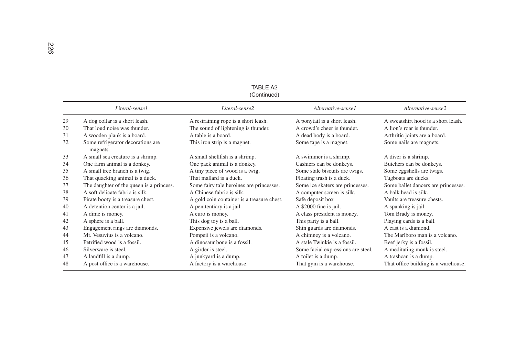|    | Literal-sense1                                | Literal-sense2                             | Alternative-sense1                 | Alternative-sense2                   |
|----|-----------------------------------------------|--------------------------------------------|------------------------------------|--------------------------------------|
| 29 | A dog collar is a short leash.                | A restraining rope is a short leash.       | A ponytail is a short leash.       | A sweatshirt hood is a short leash.  |
| 30 | That loud noise was thunder.                  | The sound of lightening is thunder.        | A crowd's cheer is thunder.        | A lion's roar is thunder.            |
| 31 | A wooden plank is a board.                    | A table is a board.                        | A dead body is a board.            | Arthritic joints are a board.        |
| 32 | Some refrigerator decorations are<br>magnets. | This iron strip is a magnet.               | Some tape is a magnet.             | Some nails are magnets.              |
| 33 | A small sea creature is a shrimp.             | A small shellfish is a shrimp.             | A swimmer is a shrimp.             | A diver is a shrimp.                 |
| 34 | One farm animal is a donkey.                  | One pack animal is a donkey.               | Cashiers can be donkeys.           | Butchers can be donkeys.             |
| 35 | A small tree branch is a twig.                | A tiny piece of wood is a twig.            | Some stale biscuits are twigs.     | Some eggshells are twigs.            |
| 36 | That quacking animal is a duck.               | That mallard is a duck.                    | Floating trash is a duck.          | Tugboats are ducks.                  |
| 37 | The daughter of the queen is a princess.      | Some fairy tale heroines are princesses.   | Some ice skaters are princesses.   | Some ballet dancers are princesses.  |
| 38 | A soft delicate fabric is silk.               | A Chinese fabric is silk.                  | A computer screen is silk.         | A balk head is silk.                 |
| 39 | Pirate booty is a treasure chest.             | A gold coin container is a treasure chest. | Safe deposit box                   | Vaults are treasure chests.          |
| 40 | A detention center is a jail.                 | A penitentiary is a jail.                  | A \$2000 fine is jail.             | A spanking is jail.                  |
| 41 | A dime is money.                              | A euro is money.                           | A class president is money.        | Tom Brady is money.                  |
| 42 | A sphere is a ball.                           | This dog toy is a ball.                    | This party is a ball.              | Playing cards is a ball.             |
| 43 | Engagement rings are diamonds.                | Expensive jewels are diamonds.             | Shin guards are diamonds.          | A cast is a diamond.                 |
| 44 | Mt. Vesuvius is a volcano.                    | Pompeii is a volcano.                      | A chimney is a volcano.            | The Marlboro man is a volcano.       |
| 45 | Petrified wood is a fossil.                   | A dinosaur bone is a fossil.               | A stale Twinkie is a fossil.       | Beef jerky is a fossil.              |
| 46 | Silverware is steel.                          | A girder is steel.                         | Some facial expressions are steel. | A meditating monk is steel.          |
| 47 | A landfill is a dump.                         | A junkyard is a dump.                      | A toilet is a dump.                | A trashcan is a dump.                |
| 48 | A post office is a warehouse.                 | A factory is a warehouse.                  | That gym is a warehouse.           | That office building is a warehouse. |

TABLE A2 (Continued)